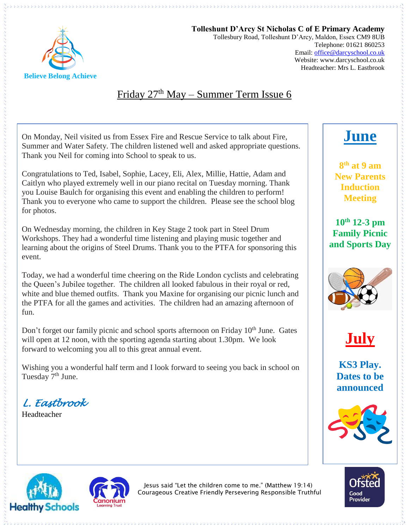

#### **Tolleshunt D'Arcy St Nicholas C of E Primary Academy** Tollesbury Road, Tolleshunt D'Arcy, Maldon, Essex CM9 8UB Telephone: 01621 860253 Email[: office@darcyschool.co.uk](mailto:office@darcyschool.co.uk) Website: www.darcyschool.co.uk Headteacher: Mrs L. Eastbrook

## Friday 27<sup>th</sup> May – Summer Term Issue 6

On Monday, Neil visited us from Essex Fire and Rescue Service to talk about Fire, Summer and Water Safety. The children listened well and asked appropriate questions. Thank you Neil for coming into School to speak to us.

Congratulations to Ted, Isabel, Sophie, Lacey, Eli, Alex, Millie, Hattie, Adam and Caitlyn who played extremely well in our piano recital on Tuesday morning. Thank you Louise Baulch for organising this event and enabling the children to perform! Thank you to everyone who came to support the children. Please see the school blog for photos.

On Wednesday morning, the children in Key Stage 2 took part in Steel Drum Workshops. They had a wonderful time listening and playing music together and learning about the origins of Steel Drums. Thank you to the PTFA for sponsoring this event.

Today, we had a wonderful time cheering on the Ride London cyclists and celebrating the Queen's Jubilee together. The children all looked fabulous in their royal or red, white and blue themed outfits. Thank you Maxine for organising our picnic lunch and the PTFA for all the games and activities. The children had an amazing afternoon of fun.

Don't forget our family picnic and school sports afternoon on Friday  $10<sup>th</sup>$  June. Gates will open at 12 noon, with the sporting agenda starting about 1.30pm. We look forward to welcoming you all to this great annual event.

Wishing you a wonderful half term and I look forward to seeing you back in school on Tuesday 7<sup>th</sup> June.

*L. Eastbrook* 

Headteacher

# **June**

**8 th at 9 am New Parents Induction Meeting**

**10th 12-3 pm Family Picnic and Sports Day**





**KS3 Play. Dates to be announced**







Jesus said "Let the children come to me." (Matthew 19:14) Courageous Creative Friendly Persevering Responsible Truthful